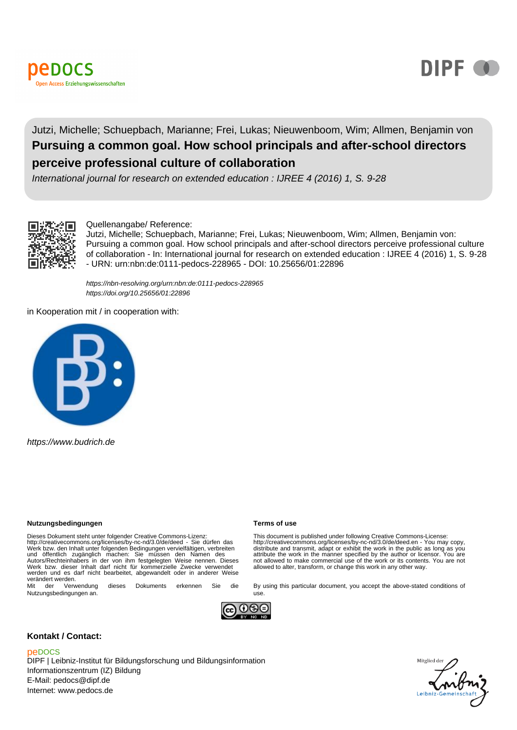



# Jutzi, Michelle; Schuepbach, Marianne; Frei, Lukas; Nieuwenboom, Wim; Allmen, Benjamin von **Pursuing a common goal. How school principals and after-school directors perceive professional culture of collaboration**

International journal for research on extended education : IJREE 4 (2016) 1, S. 9-28



#### Quellenangabe/ Reference:

Jutzi, Michelle; Schuepbach, Marianne; Frei, Lukas; Nieuwenboom, Wim; Allmen, Benjamin von: Pursuing a common goal. How school principals and after-school directors perceive professional culture of collaboration - In: International journal for research on extended education : IJREE 4 (2016) 1, S. 9-28 - URN: urn:nbn:de:0111-pedocs-228965 - DOI: 10.25656/01:22896

<https://nbn-resolving.org/urn:nbn:de:0111-pedocs-228965> <https://doi.org/10.25656/01:22896>

in Kooperation mit / in cooperation with:



https://www.budrich.de

#### **Nutzungsbedingungen Terms of use**

Dieses Dokument steht unter folgender Creative Commons-Lizenz:<br>http://creativecommons.org/licenses/by-nc-nd/3.0/de/deed - Sie dürfen das<br>Werk bzw. den Inhalt unter folgenden Bedingungen vervielfältigen, verbreiten<br>und öffe werden und es darf nicht bearbeitet, abgewandelt oder in anderer Weise verändert werden.<br>Mit der Verwendung dieses Dokuments erkennen Sie die

Nutzungsbedingungen an.

This document is published under following Creative Commons-License:<br>http://creativecommons.org/licenses/by-nc-nd/3.0/de/deed.en - You may copy,<br>distribute and transmit, adapt or exhibit the work in the public as long as y not allowed to make commercial use of the work or its contents. You are not allowed to alter, transform, or change this work in any other way.

By using this particular document, you accept the above-stated conditions of



use.

#### **Kontakt / Contact:**

#### peDOCS

DIPF | Leibniz-Institut für Bildungsforschung und Bildungsinformation Informationszentrum (IZ) Bildung E-Mail: pedocs@dipf.de Internet: www.pedocs.de

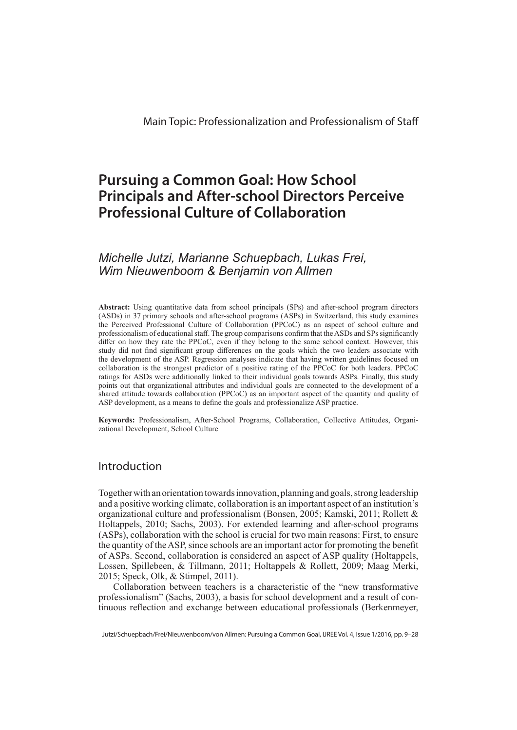# **Pursuing a Common Goal: How School Principals and After-school Directors Perceive Professional Culture of Collaboration**

# *Michelle Jutzi, Marianne Schuepbach, Lukas Frei, Wim Nieuwenboom & Benjamin von Allmen*

**Abstract:** Using quantitative data from school principals (SPs) and after-school program directors (ASDs) in 37 primary schools and after-school programs (ASPs) in Switzerland, this study examines the Perceived Professional Culture of Collaboration (PPCoC) as an aspect of school culture and professionalism of educational staf. The group comparisons confrm that the ASDs and SPs signifcantly difer on how they rate the PPCoC, even if they belong to the same school context. However, this study did not fnd signifcant group diferences on the goals which the two leaders associate with the development of the ASP. Regression analyses indicate that having written guidelines focused on collaboration is the strongest predictor of a positive rating of the PPCoC for both leaders. PPCoC ratings for ASDs were additionally linked to their individual goals towards ASPs. Finally, this study points out that organizational attributes and individual goals are connected to the development of a shared attitude towards collaboration (PPCoC) as an important aspect of the quantity and quality of ASP development, as a means to defne the goals and professionalize ASP practice.

**Keywords:** Professionalism, After-School Programs, Collaboration, Collective Attitudes, Organizational Development, School Culture

# Introduction

Together with an orientation towards innovation, planning and goals, strong leadership and a positive working climate, collaboration is an important aspect of an institution's organizational culture and professionalism (Bonsen, 2005; Kamski, 2011; Rollett & Holtappels, 2010; Sachs, 2003). For extended learning and after-school programs (ASPs), collaboration with the school is crucial for two main reasons: First, to ensure the quantity of the ASP, since schools are an important actor for promoting the beneft of ASPs. Second, collaboration is considered an aspect of ASP quality (Holtappels, Lossen, Spillebeen, & Tillmann, 2011; Holtappels & Rollett, 2009; Maag Merki, 2015; Speck, Olk, & Stimpel, 2011).

Collaboration between teachers is a characteristic of the "new transformative professionalism" (Sachs, 2003), a basis for school development and a result of continuous refection and exchange between educational professionals (Berkenmeyer,

Jutzi/Schuepbach/Frei/Nieuwenboom/von Allmen: Pursuing a Common Goal, IJREE Vol. 4, Issue 1/2016, pp. 9–28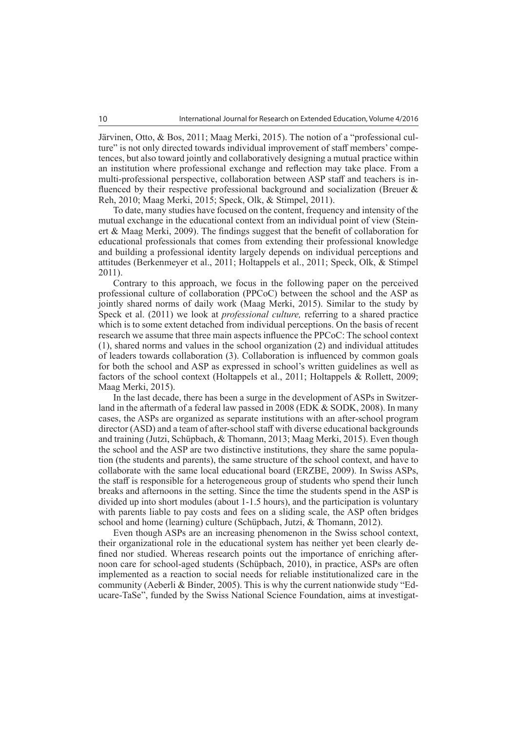Järvinen, Otto, & Bos, 2011; Maag Merki, 2015). The notion of a "professional culture" is not only directed towards individual improvement of staff members' competences, but also toward jointly and collaboratively designing a mutual practice within an institution where professional exchange and refection may take place. From a multi-professional perspective, collaboration between ASP staf and teachers is infuenced by their respective professional background and socialization (Breuer & Reh, 2010; Maag Merki, 2015; Speck, Olk, & Stimpel, 2011).

To date, many studies have focused on the content, frequency and intensity of the mutual exchange in the educational context from an individual point of view (Steinert & Maag Merki, 2009). The fndings suggest that the beneft of collaboration for educational professionals that comes from extending their professional knowledge and building a professional identity largely depends on individual perceptions and attitudes (Berkenmeyer et al., 2011; Holtappels et al., 2011; Speck, Olk, & Stimpel 2011).

Contrary to this approach, we focus in the following paper on the perceived professional culture of collaboration (PPCoC) between the school and the ASP as jointly shared norms of daily work (Maag Merki, 2015). Similar to the study by Speck et al. (2011) we look at *professional culture,* referring to a shared practice which is to some extent detached from individual perceptions. On the basis of recent research we assume that three main aspects infuence the PPCoC: The school context (1), shared norms and values in the school organization (2) and individual attitudes of leaders towards collaboration (3). Collaboration is infuenced by common goals for both the school and ASP as expressed in school's written guidelines as well as factors of the school context (Holtappels et al., 2011; Holtappels & Rollett, 2009; Maag Merki, 2015).

In the last decade, there has been a surge in the development of ASPs in Switzerland in the aftermath of a federal law passed in 2008 (EDK & SODK, 2008). In many cases, the ASPs are organized as separate institutions with an after-school program director (ASD) and a team of after-school staff with diverse educational backgrounds and training (Jutzi, Schüpbach, & Thomann, 2013; Maag Merki, 2015). Even though the school and the ASP are two distinctive institutions, they share the same population (the students and parents), the same structure of the school context, and have to collaborate with the same local educational board (ERZBE, 2009). In Swiss ASPs, the staff is responsible for a heterogeneous group of students who spend their lunch breaks and afternoons in the setting. Since the time the students spend in the ASP is divided up into short modules (about 1-1.5 hours), and the participation is voluntary with parents liable to pay costs and fees on a sliding scale, the ASP often bridges school and home (learning) culture (Schüpbach, Jutzi, & Thomann, 2012).

Even though ASPs are an increasing phenomenon in the Swiss school context, their organizational role in the educational system has neither yet been clearly defned nor studied. Whereas research points out the importance of enriching afternoon care for school-aged students (Schüpbach, 2010), in practice, ASPs are often implemented as a reaction to social needs for reliable institutionalized care in the community (Aeberli & Binder, 2005). This is why the current nationwide study "Educare-TaSe", funded by the Swiss National Science Foundation, aims at investigat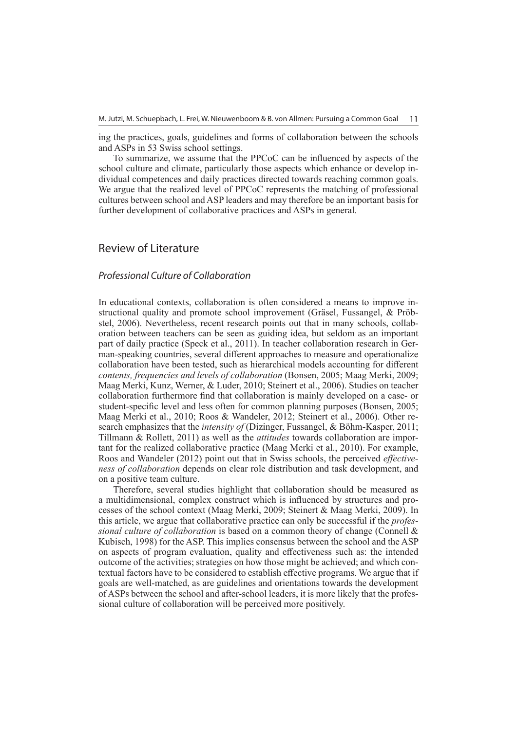ing the practices, goals, guidelines and forms of collaboration between the schools and ASPs in 53 Swiss school settings.

To summarize, we assume that the PPCoC can be infuenced by aspects of the school culture and climate, particularly those aspects which enhance or develop individual competences and daily practices directed towards reaching common goals. We argue that the realized level of PPCoC represents the matching of professional cultures between school and ASP leaders and may therefore be an important basis for further development of collaborative practices and ASPs in general.

# Review of Literature

### *Professional Culture of Collaboration*

In educational contexts, collaboration is often considered a means to improve instructional quality and promote school improvement (Gräsel, Fussangel, & Pröbstel, 2006). Nevertheless, recent research points out that in many schools, collaboration between teachers can be seen as guiding idea, but seldom as an important part of daily practice (Speck et al., 2011). In teacher collaboration research in German-speaking countries, several diferent approaches to measure and operationalize collaboration have been tested, such as hierarchical models accounting for diferent *contents, frequencies and levels of collaboration* (Bonsen, 2005; Maag Merki, 2009; Maag Merki, Kunz, Werner, & Luder, 2010; Steinert et al., 2006). Studies on teacher collaboration furthermore fnd that collaboration is mainly developed on a case- or student-specifc level and less often for common planning purposes (Bonsen, 2005; Maag Merki et al., 2010; Roos & Wandeler, 2012; Steinert et al., 2006). Other research emphasizes that the *intensity of* (Dizinger, Fussangel, & Böhm-Kasper, 2011; Tillmann & Rollett, 2011) as well as the *attitudes* towards collaboration are important for the realized collaborative practice (Maag Merki et al., 2010). For example, Roos and Wandeler (2012) point out that in Swiss schools, the perceived *efectiveness of collaboration* depends on clear role distribution and task development, and on a positive team culture.

Therefore, several studies highlight that collaboration should be measured as a multidimensional, complex construct which is infuenced by structures and processes of the school context (Maag Merki, 2009; Steinert & Maag Merki, 2009). In this article, we argue that collaborative practice can only be successful if the *professional culture of collaboration* is based on a common theory of change (Connell & Kubisch, 1998) for the ASP. This implies consensus between the school and the ASP on aspects of program evaluation, quality and efectiveness such as: the intended outcome of the activities; strategies on how those might be achieved; and which contextual factors have to be considered to establish efective programs. We argue that if goals are well-matched, as are guidelines and orientations towards the development of ASPs between the school and after-school leaders, it is more likely that the professional culture of collaboration will be perceived more positively.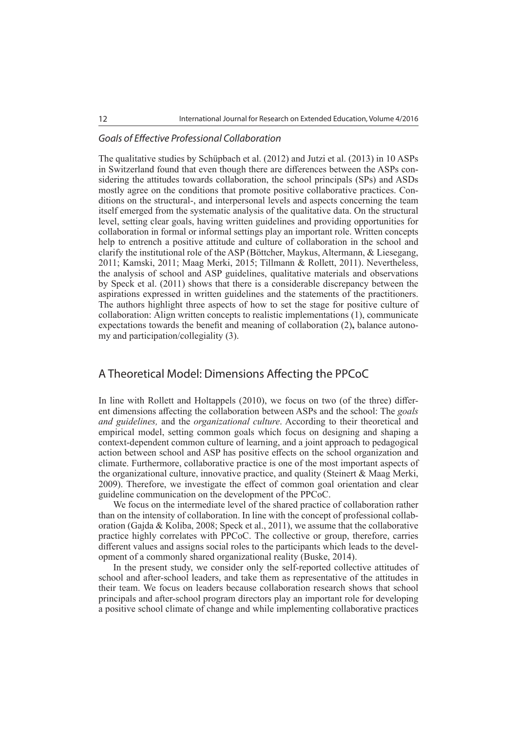#### *Goals of Efective Professional Collaboration*

The qualitative studies by Schüpbach et al. (2012) and Jutzi et al. (2013) in 10 ASPs in Switzerland found that even though there are diferences between the ASPs considering the attitudes towards collaboration, the school principals (SPs) and ASDs mostly agree on the conditions that promote positive collaborative practices. Conditions on the structural-, and interpersonal levels and aspects concerning the team itself emerged from the systematic analysis of the qualitative data. On the structural level, setting clear goals, having written guidelines and providing opportunities for collaboration in formal or informal settings play an important role. Written concepts help to entrench a positive attitude and culture of collaboration in the school and clarify the institutional role of the ASP (Böttcher, Maykus, Altermann, & Liesegang, 2011; Kamski, 2011; Maag Merki, 2015; Tillmann & Rollett, 2011). Nevertheless, the analysis of school and ASP guidelines, qualitative materials and observations by Speck et al. (2011) shows that there is a considerable discrepancy between the aspirations expressed in written guidelines and the statements of the practitioners. The authors highlight three aspects of how to set the stage for positive culture of collaboration: Align written concepts to realistic implementations (1), communicate expectations towards the beneft and meaning of collaboration (2)**,** balance autonomy and participation/collegiality (3).

# A Theoretical Model: Dimensions Afecting the PPCoC

In line with Rollett and Holtappels (2010), we focus on two (of the three) diferent dimensions afecting the collaboration between ASPs and the school: The *goals and guidelines,* and the *organizational culture*. According to their theoretical and empirical model, setting common goals which focus on designing and shaping a context-dependent common culture of learning, and a joint approach to pedagogical action between school and ASP has positive efects on the school organization and climate. Furthermore, collaborative practice is one of the most important aspects of the organizational culture, innovative practice, and quality (Steinert & Maag Merki, 2009). Therefore, we investigate the efect of common goal orientation and clear guideline communication on the development of the PPCoC.

We focus on the intermediate level of the shared practice of collaboration rather than on the intensity of collaboration. In line with the concept of professional collaboration (Gajda & Koliba, 2008; Speck et al., 2011), we assume that the collaborative practice highly correlates with PPCoC. The collective or group, therefore, carries diferent values and assigns social roles to the participants which leads to the development of a commonly shared organizational reality (Buske, 2014).

In the present study, we consider only the self-reported collective attitudes of school and after-school leaders, and take them as representative of the attitudes in their team. We focus on leaders because collaboration research shows that school principals and after-school program directors play an important role for developing a positive school climate of change and while implementing collaborative practices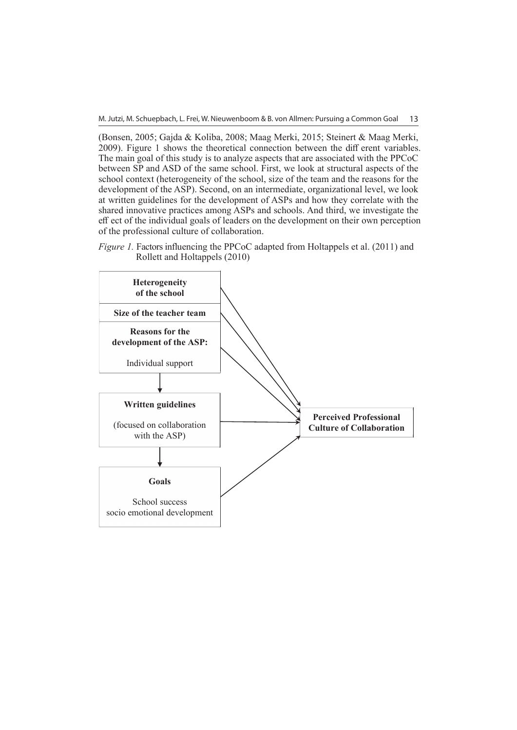M. Jutzi, M. Schuepbach, L. Frei, W. Nieuwenboom & B. von Allmen: Pursuing a Common Goal 13

(Bonsen, 2005; Gajda & Koliba, 2008; Maag Merki, 2015; Steinert & Maag Merki, 2009). Figure 1 shows the theoretical connection between the dif erent variables. The main goal of this study is to analyze aspects that are associated with the PPCoC between SP and ASD of the same school. First, we look at structural aspects of the school context (heterogeneity of the school, size of the team and the reasons for the development of the ASP). Second, on an intermediate, organizational level, we look at written guidelines for the development of ASPs and how they correlate with the shared innovative practices among ASPs and schools. And third, we investigate the ef ect of the individual goals of leaders on the development on their own perception of the professional culture of collaboration.



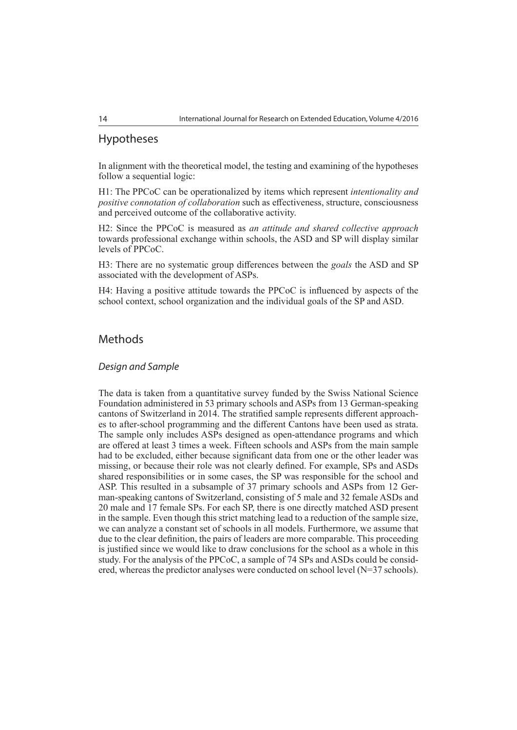# Hypotheses

In alignment with the theoretical model, the testing and examining of the hypotheses follow a sequential logic:

H1: The PPCoC can be operationalized by items which represent *intentionality and positive connotation of collaboration* such as efectiveness, structure, consciousness and perceived outcome of the collaborative activity.

H2: Since the PPCoC is measured as *an attitude and shared collective approach* towards professional exchange within schools, the ASD and SP will display similar levels of PPCoC.

H3: There are no systematic group diferences between the *goals* the ASD and SP associated with the development of ASPs.

H4: Having a positive attitude towards the PPCoC is infuenced by aspects of the school context, school organization and the individual goals of the SP and ASD.

# Methods

#### *Design and Sample*

The data is taken from a quantitative survey funded by the Swiss National Science Foundation administered in 53 primary schools and ASPs from 13 German-speaking cantons of Switzerland in 2014. The stratifed sample represents diferent approaches to after-school programming and the diferent Cantons have been used as strata. The sample only includes ASPs designed as open-attendance programs and which are offered at least 3 times a week. Fifteen schools and ASPs from the main sample had to be excluded, either because signifcant data from one or the other leader was missing, or because their role was not clearly defned. For example, SPs and ASDs shared responsibilities or in some cases, the SP was responsible for the school and ASP. This resulted in a subsample of 37 primary schools and ASPs from 12 German-speaking cantons of Switzerland, consisting of 5 male and 32 female ASDs and 20 male and 17 female SPs. For each SP, there is one directly matched ASD present in the sample. Even though this strict matching lead to a reduction of the sample size, we can analyze a constant set of schools in all models. Furthermore, we assume that due to the clear defnition, the pairs of leaders are more comparable. This proceeding is justifed since we would like to draw conclusions for the school as a whole in this study. For the analysis of the PPCoC, a sample of 74 SPs and ASDs could be considered, whereas the predictor analyses were conducted on school level (N=37 schools).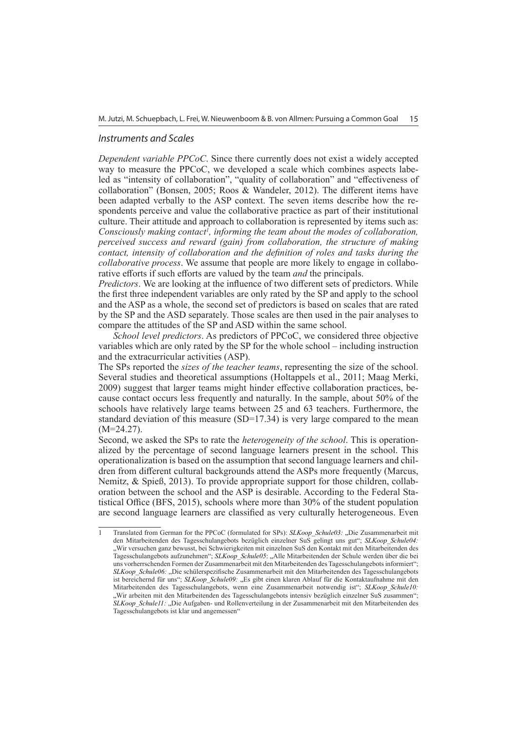#### *Instruments and Scales*

*Dependent variable PPCoC*. Since there currently does not exist a widely accepted way to measure the PPCoC, we developed a scale which combines aspects labeled as "intensity of collaboration", "quality of collaboration" and "effectiveness of collaboration" (Bonsen, 2005; Roos & Wandeler, 2012). The diferent items have been adapted verbally to the ASP context. The seven items describe how the respondents perceive and value the collaborative practice as part of their institutional culture. Their attitude and approach to collaboration is represented by items such as: *Consciously making contact<sup>1</sup> , informing the team about the modes of collaboration, perceived success and reward (gain) from collaboration, the structure of making contact, intensity of collaboration and the defnition of roles and tasks during the collaborative process*. We assume that people are more likely to engage in collaborative efforts if such efforts are valued by the team *and* the principals.

*Predictors*. We are looking at the infuence of two diferent sets of predictors. While the frst three independent variables are only rated by the SP and apply to the school and the ASP as a whole, the second set of predictors is based on scales that are rated by the SP and the ASD separately. Those scales are then used in the pair analyses to compare the attitudes of the SP and ASD within the same school.

*School level predictors*. As predictors of PPCoC, we considered three objective variables which are only rated by the SP for the whole school – including instruction and the extracurricular activities (ASP).

The SPs reported the *sizes of the teacher teams*, representing the size of the school. Several studies and theoretical assumptions (Holtappels et al., 2011; Maag Merki, 2009) suggest that larger teams might hinder efective collaboration practices, because contact occurs less frequently and naturally. In the sample, about 50% of the schools have relatively large teams between 25 and 63 teachers. Furthermore, the standard deviation of this measure (SD=17.34) is very large compared to the mean  $(M=24.27)$ .

Second, we asked the SPs to rate the *heterogeneity of the school*. This is operationalized by the percentage of second language learners present in the school. This operationalization is based on the assumption that second language learners and children from diferent cultural backgrounds attend the ASPs more frequently (Marcus, Nemitz, & Spieß, 2013). To provide appropriate support for those children, collaboration between the school and the ASP is desirable. According to the Federal Statistical Office (BFS, 2015), schools where more than  $30\%$  of the student population are second language learners are classifed as very culturally heterogeneous. Even

<sup>1</sup> Translated from German for the PPCoC (formulated for SPs): *SLKoop\_Schule03:* "Die Zusammenarbeit mit den Mitarbeitenden des Tagesschulangebots bezüglich einzelner SuS gelingt uns gut"; *SLKoop\_Schule04:* "Wir versuchen ganz bewusst, bei Schwierigkeiten mit einzelnen SuS den Kontakt mit den Mitarbeitenden des Tagesschulangebots aufzunehmen"; *SLKoop\_Schule05*: "Alle Mitarbeitenden der Schule werden über die bei uns vorherrschenden Formen der Zusammenarbeit mit den Mitarbeitenden des Tagesschulangebots informiert"; *SLKoop\_Schule06:* "Die schülerspezifsche Zusammenarbeit mit den Mitarbeitenden des Tagesschulangebots ist bereichernd für uns"; *SLKoop\_Schule09:* "Es gibt einen klaren Ablauf für die Kontaktaufnahme mit den Mitarbeitenden des Tagesschulangebots, wenn eine Zusammenarbeit notwendig ist"; *SLKoop\_Schule10:*  "Wir arbeiten mit den Mitarbeitenden des Tagesschulangebots intensiv bezüglich einzelner SuS zusammen"; *SLKoop\_Schule11:* "Die Aufgaben- und Rollenverteilung in der Zusammenarbeit mit den Mitarbeitenden des Tagesschulangebots ist klar und angemessen"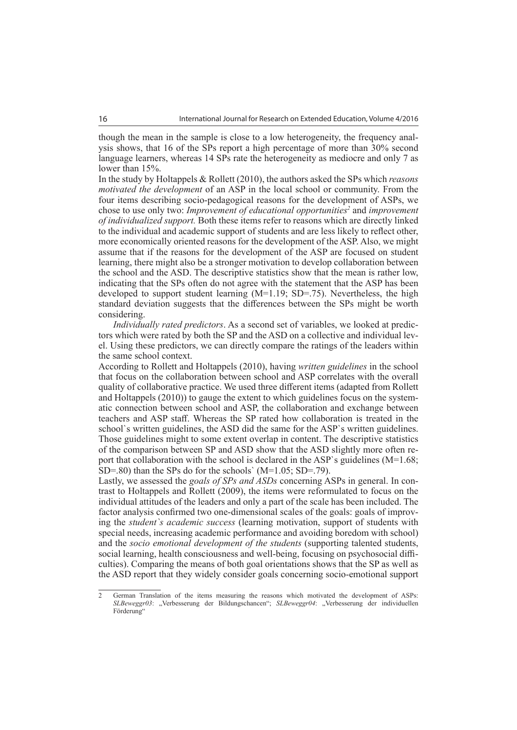though the mean in the sample is close to a low heterogeneity, the frequency analysis shows, that 16 of the SPs report a high percentage of more than 30% second language learners, whereas 14 SPs rate the heterogeneity as mediocre and only 7 as lower than 15%.

In the study by Holtappels & Rollett (2010), the authors asked the SPs which *reasons motivated the development* of an ASP in the local school or community. From the four items describing socio-pedagogical reasons for the development of ASPs, we chose to use only two: *Improvement of educational opportunities<sup>2</sup>* and *improvement of individualized support.* Both these items refer to reasons which are directly linked to the individual and academic support of students and are less likely to refect other, more economically oriented reasons for the development of the ASP. Also, we might assume that if the reasons for the development of the ASP are focused on student learning, there might also be a stronger motivation to develop collaboration between the school and the ASD. The descriptive statistics show that the mean is rather low, indicating that the SPs often do not agree with the statement that the ASP has been developed to support student learning (M=1.19; SD=.75). Nevertheless, the high standard deviation suggests that the diferences between the SPs might be worth considering.

*Individually rated predictors*. As a second set of variables, we looked at predictors which were rated by both the SP and the ASD on a collective and individual level. Using these predictors, we can directly compare the ratings of the leaders within the same school context.

According to Rollett and Holtappels (2010), having *written guidelines* in the school that focus on the collaboration between school and ASP correlates with the overall quality of collaborative practice. We used three diferent items (adapted from Rollett and Holtappels (2010)) to gauge the extent to which guidelines focus on the systematic connection between school and ASP, the collaboration and exchange between teachers and ASP staf. Whereas the SP rated how collaboration is treated in the school`s written guidelines, the ASD did the same for the ASP`s written guidelines. Those guidelines might to some extent overlap in content. The descriptive statistics of the comparison between SP and ASD show that the ASD slightly more often report that collaboration with the school is declared in the ASP's guidelines (M=1.68; SD=.80) than the SPs do for the schools` (M=1.05; SD=.79).

Lastly, we assessed the *goals of SPs and ASDs* concerning ASPs in general. In contrast to Holtappels and Rollett (2009), the items were reformulated to focus on the individual attitudes of the leaders and only a part of the scale has been included. The factor analysis confrmed two one-dimensional scales of the goals: goals of improving the *student`s academic success* (learning motivation, support of students with special needs, increasing academic performance and avoiding boredom with school) and the *socio emotional development of the students* (supporting talented students, social learning, health consciousness and well-being, focusing on psychosocial difficulties). Comparing the means of both goal orientations shows that the SP as well as the ASD report that they widely consider goals concerning socio-emotional support

<sup>2</sup> German Translation of the items measuring the reasons which motivated the development of ASPs: *SLBeweggr03*: "Verbesserung der Bildungschancen"; *SLBeweggr04*: "Verbesserung der individuellen Förderung"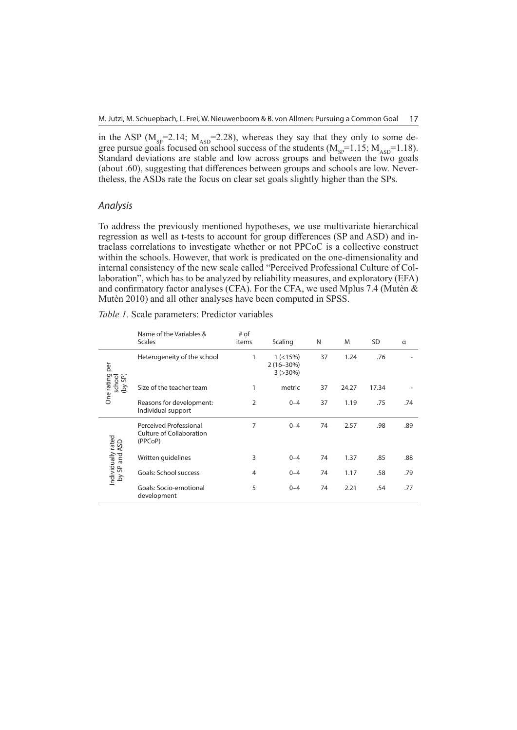in the ASP ( $M_{SP}$ =2.14;  $M_{ASD}$ =2.28), whereas they say that they only to some degree pursue goals focused on school success of the students  $(M_{sp}=1.15; M_{ASD}=1.18)$ . Standard deviations are stable and low across groups and between the two goals (about .60), suggesting that diferences between groups and schools are low. Nevertheless, the ASDs rate the focus on clear set goals slightly higher than the SPs.

#### *Analysis*

To address the previously mentioned hypotheses, we use multivariate hierarchical regression as well as t-tests to account for group diferences (SP and ASD) and intraclass correlations to investigate whether or not PPCoC is a collective construct within the schools. However, that work is predicated on the one-dimensionality and internal consistency of the new scale called "Perceived Professional Culture of Collaboration", which has to be analyzed by reliability measures, and exploratory (EFA) and confrmatory factor analyses (CFA). For the CFA, we used Mplus 7.4 (Mutèn & Mutèn 2010) and all other analyses have been computed in SPSS.

|                                     | Name of the Variables &<br><b>Scales</b>                             | # of<br>items  | Scaling                                    | N  | M     | <b>SD</b> | α   |
|-------------------------------------|----------------------------------------------------------------------|----------------|--------------------------------------------|----|-------|-----------|-----|
| per                                 | Heterogeneity of the school                                          | 1              | $1 (< 15\%)$<br>$2(16-30\%)$<br>$3(>30\%)$ | 37 | 1.24  | .76       |     |
| One rating<br>school<br>(by SP)     | Size of the teacher team                                             | 1              | metric                                     | 37 | 24.27 | 17.34     |     |
|                                     | Reasons for development:<br>Individual support                       | 2              | $0 - 4$                                    | 37 | 1.19  | .75       | .74 |
| Individually rated<br>by SP and ASD | Perceived Professional<br><b>Culture of Collaboration</b><br>(PPCoP) | 7              | $0 - 4$                                    | 74 | 2.57  | .98       | .89 |
|                                     | Written guidelines                                                   | 3              | $0 - 4$                                    | 74 | 1.37  | .85       | .88 |
|                                     | <b>Goals: School success</b>                                         | $\overline{4}$ | $0 - 4$                                    | 74 | 1.17  | .58       | .79 |
|                                     | Goals: Socio-emotional<br>development                                | 5              | $0 - 4$                                    | 74 | 2.21  | .54       | .77 |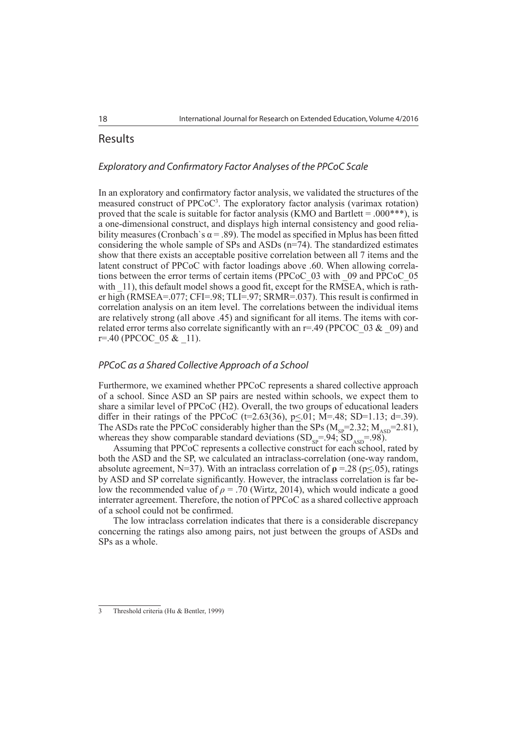# Results

## *Exploratory and Confrmatory Factor Analyses of the PPCoC Scale*

In an exploratory and confrmatory factor analysis, we validated the structures of the measured construct of PPCoC<sup>3</sup>. The exploratory factor analysis (varimax rotation) proved that the scale is suitable for factor analysis (KMO and Bartlett =  $.000$ \*\*\*), is a one-dimensional construct, and displays high internal consistency and good reliability measures (Cronbach`s  $\alpha$  = .89). The model as specified in Mplus has been fitted considering the whole sample of SPs and ASDs  $(n=74)$ . The standardized estimates show that there exists an acceptable positive correlation between all 7 items and the latent construct of PPCoC with factor loadings above .60. When allowing correlations between the error terms of certain items (PPCoC\_03 with \_09 and PPCoC\_05 with 11), this default model shows a good fit, except for the RMSEA, which is rather high (RMSEA=.077; CFI=.98; TLI=.97; SRMR=.037). This result is confrmed in correlation analysis on an item level. The correlations between the individual items are relatively strong (all above .45) and signifcant for all items. The items with correlated error terms also correlate significantly with an  $r=0.49$  (PPCOC 03 & 09) and  $r = .40$  (PPCOC 05 & 11).

### *PPCoC as a Shared Collective Approach of a School*

Furthermore, we examined whether PPCoC represents a shared collective approach of a school. Since ASD an SP pairs are nested within schools, we expect them to share a similar level of PPCoC (H2). Overall, the two groups of educational leaders differ in their ratings of the PPCoC (t=2.63(36), p $\leq$ .01; M=.48; SD=1.13; d=.39). The ASDs rate the PPCoC considerably higher than the SPs ( $M_{\rm sp}$ =2.32;  $M_{\rm ASD}$ =2.81), whereas they show comparable standard deviations  $(SD_{sp}=.94, SD_{ASD}=.98)$ .

Assuming that PPCoC represents a collective construct for each school, rated by both the ASD and the SP, we calculated an intraclass-correlation (one-way random, absolute agreement, N=37). With an intraclass correlation of  $\rho$  =.28 (p $\leq$ .05), ratings by ASD and SP correlate signifcantly. However, the intraclass correlation is far below the recommended value of  $\rho = .70$  (Wirtz, 2014), which would indicate a good interrater agreement. Therefore, the notion of PPCoC as a shared collective approach of a school could not be confrmed.

The low intraclass correlation indicates that there is a considerable discrepancy concerning the ratings also among pairs, not just between the groups of ASDs and SPs as a whole.

<sup>3</sup> Threshold criteria (Hu & Bentler, 1999)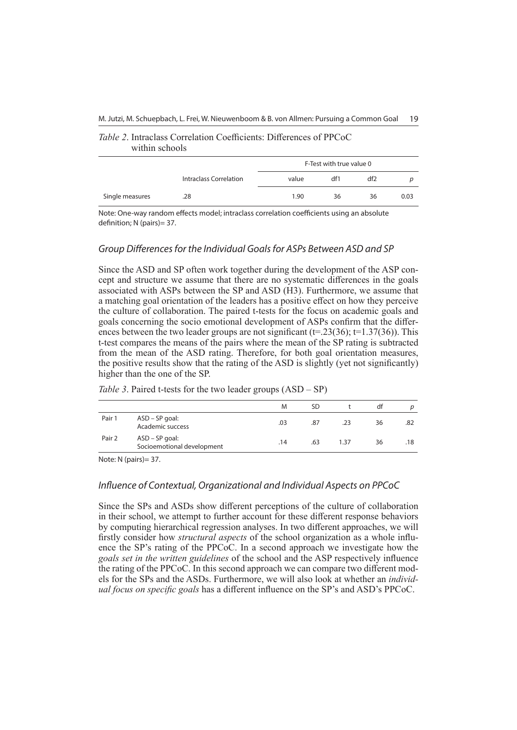*Table 2.* Intraclass Correlation Coefficients: Differences of PPCoC within schools

|                 |                        | F-Test with true value 0 |     |                 |      |
|-----------------|------------------------|--------------------------|-----|-----------------|------|
|                 | Intraclass Correlation | value                    | df1 | df <sub>2</sub> |      |
| Single measures | .28                    | 1.90                     | 36  | 36              | 0.03 |

Note: One-way random effects model; intraclass correlation coefficients using an absolute defnition; N (pairs)= 37.

### *Group Diferences for the Individual Goals for ASPs Between ASD and SP*

Since the ASD and SP often work together during the development of the ASP concept and structure we assume that there are no systematic diferences in the goals associated with ASPs between the SP and ASD (H3). Furthermore, we assume that a matching goal orientation of the leaders has a positive efect on how they perceive the culture of collaboration. The paired t-tests for the focus on academic goals and goals concerning the socio emotional development of ASPs confrm that the diferences between the two leader groups are not significant ( $t=23(36)$ ;  $t=1.37(36)$ ). This t-test compares the means of the pairs where the mean of the SP rating is subtracted from the mean of the ASD rating. Therefore, for both goal orientation measures, the positive results show that the rating of the ASD is slightly (yet not signifcantly) higher than the one of the SP.

*Table 3*. Paired t-tests for the two leader groups (ASD – SP)

|        |                                              | M   | SD  |      | df | D   |
|--------|----------------------------------------------|-----|-----|------|----|-----|
| Pair 1 | ASD – SP goal:<br>Academic success           | .03 | .87 | .23  | 36 | .82 |
| Pair 2 | ASD – SP goal:<br>Socioemotional development | .14 | .63 | 1.37 | 36 | .18 |

Note: N (pairs)= 37.

#### *Infuence of Contextual, Organizational and Individual Aspects on PPCoC*

Since the SPs and ASDs show diferent perceptions of the culture of collaboration in their school, we attempt to further account for these diferent response behaviors by computing hierarchical regression analyses. In two diferent approaches, we will frstly consider how *structural aspects* of the school organization as a whole infuence the SP's rating of the PPCoC. In a second approach we investigate how the *goals set in the written guidelines* of the school and the ASP respectively infuence the rating of the PPCoC. In this second approach we can compare two diferent models for the SPs and the ASDs. Furthermore, we will also look at whether an *individual focus on specifc goals* has a diferent infuence on the SP's and ASD's PPCoC.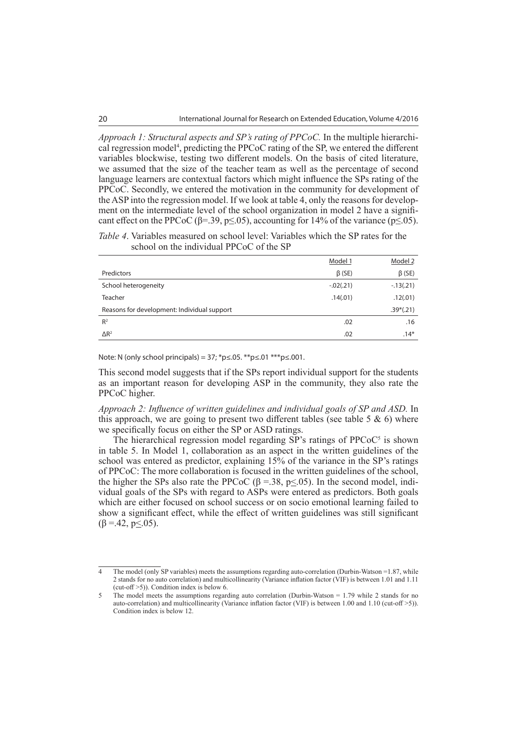*Approach 1: Structural aspects and SP's rating of PPCoC.* In the multiple hierarchical regression model<sup>4</sup>, predicting the PPCoC rating of the SP, we entered the different variables blockwise, testing two diferent models. On the basis of cited literature, we assumed that the size of the teacher team as well as the percentage of second language learners are contextual factors which might infuence the SPs rating of the PPCoC. Secondly, we entered the motivation in the community for development of the ASP into the regression model. If we look at table 4, only the reasons for development on the intermediate level of the school organization in model 2 have a signifcant effect on the PPCoC ( $\beta$ =.39, p $\leq$ .05), accounting for 14% of the variance (p $\leq$ .05).

*Table 4*. Variables measured on school level: Variables which the SP rates for the school on the individual PPCoC of the SP

|                                             | Model 1      | Model 2      |
|---------------------------------------------|--------------|--------------|
| Predictors                                  | $\beta$ (SE) | $\beta$ (SE) |
| School heterogeneity                        | $-.02(.21)$  | $-.13(.21)$  |
| <b>Teacher</b>                              | .14(.01)     | .12(.01)     |
| Reasons for development: Individual support |              | $.39*(.21)$  |
| R <sup>2</sup>                              | .02          | .16          |
| $\Delta$ R <sup>2</sup>                     | .02          | $.14*$       |
|                                             |              |              |

Note: N (only school principals) = 37; \*p≤.05. \*\*p≤.01 \*\*\*p≤.001.

This second model suggests that if the SPs report individual support for the students as an important reason for developing ASP in the community, they also rate the PPCoC higher.

*Approach 2: Infuence of written guidelines and individual goals of SP and ASD.* In this approach, we are going to present two different tables (see table 5  $\&$  6) where we specifcally focus on either the SP or ASD ratings.

The hierarchical regression model regarding SP's ratings of  $PPCoC<sup>5</sup>$  is shown in table 5. In Model 1, collaboration as an aspect in the written guidelines of the school was entered as predictor, explaining 15% of the variance in the SP's ratings of PPCoC: The more collaboration is focused in the written guidelines of the school, the higher the SPs also rate the PPCoC ( $\beta$  = .38, p $\leq$  05). In the second model, individual goals of the SPs with regard to ASPs were entered as predictors. Both goals which are either focused on school success or on socio emotional learning failed to show a signifcant efect, while the efect of written guidelines was still signifcant  $(\beta = .42, p \le .05)$ .

The model (only SP variables) meets the assumptions regarding auto-correlation (Durbin-Watson =1.87, while 2 stands for no auto correlation) and multicollinearity (Variance infation factor (VIF) is between 1.01 and 1.11  $(cut-off > 5)$ ). Condition index is below 6.

<sup>5</sup> The model meets the assumptions regarding auto correlation (Durbin-Watson = 1.79 while 2 stands for no auto-correlation) and multicollinearity (Variance infation factor (VIF) is between 1.00 and 1.10 (cut-of >5)). Condition index is below 12.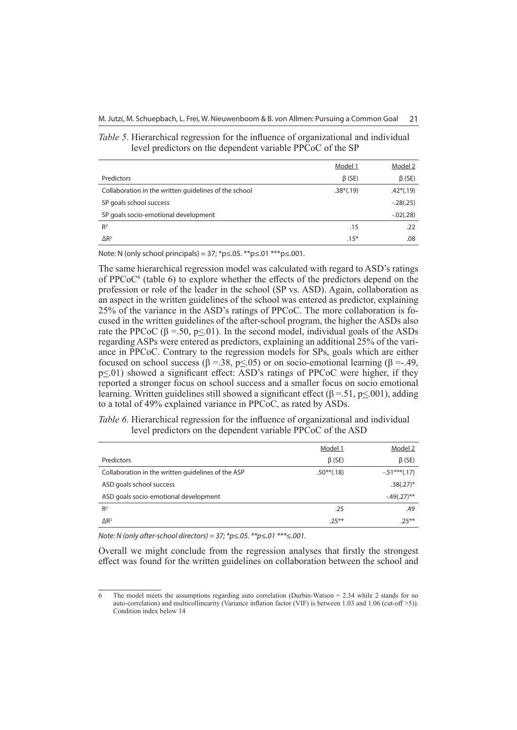| Table 5. Hierarchical regression for the influence of organizational and individual |                                                            |  |  |  |
|-------------------------------------------------------------------------------------|------------------------------------------------------------|--|--|--|
|                                                                                     | level predictors on the dependent variable PPCoC of the SP |  |  |  |

|                                                       | Model 1      | Model 2      |
|-------------------------------------------------------|--------------|--------------|
| Predictors                                            | $\beta$ (SE) | $\beta$ (SE) |
| Collaboration in the written quidelines of the school | $.38*(.19)$  | $.42*(.19)$  |
| SP goals school success                               |              | $-.28(.25)$  |
| SP goals socio-emotional development                  |              | $-.02(.28)$  |
| R <sup>2</sup>                                        | .15          | .22          |
| $\Delta$ R <sup>2</sup>                               | $.15*$       | .08          |

Note: N (only school principals) =  $37:$  \*p≤.05. \*\*p≤.01 \*\*\*p≤.001.

The same hierarchical regression model was calculated with regard to ASD's ratings of PPCoC<sup>6</sup> (table 6) to explore whether the effects of the predictors depend on the profession or role of the leader in the school (SP vs. ASD). Again, collaboration as an aspect in the written guidelines of the school was entered as predictor, explaining 25% of the variance in the ASD's ratings of PPCoC. The more collaboration is focused in the written guidelines of the after-school program, the higher the ASDs also rate the PPCoC ( $\beta = 50$ ,  $p < 01$ ). In the second model, individual goals of the ASDs regarding ASPs were entered as predictors, explaining an additional 25% of the variance in PPCoC. Contrary to the regression models for SPs, goals which are either focused on school success (β =.38, p<.05) or on socio-emotional learning (β =-.49, p<.01) showed a signifcant efect: ASD's ratings of PPCoC were higher, if they reported a stronger focus on school success and a smaller focus on socio emotional learning. Written guidelines still showed a significant effect ( $\beta$  = 51, p< 001), adding to a total of 49% explained variance in PPCoC, as rated by ASDs.

*Table 6*. Hierarchical regression for the infuence of organizational and individual level predictors on the dependent variable PPCoC of the ASD

|                                                    | Model 1         | Model 2        |
|----------------------------------------------------|-----------------|----------------|
| Predictors                                         | $\beta$ (SE)    | $\beta$ (SE)   |
| Collaboration in the written guidelines of the ASP | $.50^{**}(.18)$ | $-.51***(.17)$ |
| ASD goals school success                           |                 | $.38(.27)^*$   |
| ASD goals socio-emotional development              |                 | $-49(.27)$ **  |
| R <sup>2</sup>                                     | .25             | .49            |
| $\Delta$ R <sup>2</sup>                            | $.25***$        | $.25***$       |

*Note: N (only after-school directors) = 37; \*p≤.05. \*\*p≤.01 \*\*\*≤.001.*

Overall we might conclude from the regression analyses that frstly the strongest efect was found for the written guidelines on collaboration between the school and

<sup>6</sup> The model meets the assumptions regarding auto correlation (Durbin-Watson = 2.34 while 2 stands for no auto-correlation) and multicollinearity (Variance infation factor (VIF) is between 1.03 and 1.06 (cut-of >5)). Condition index below 14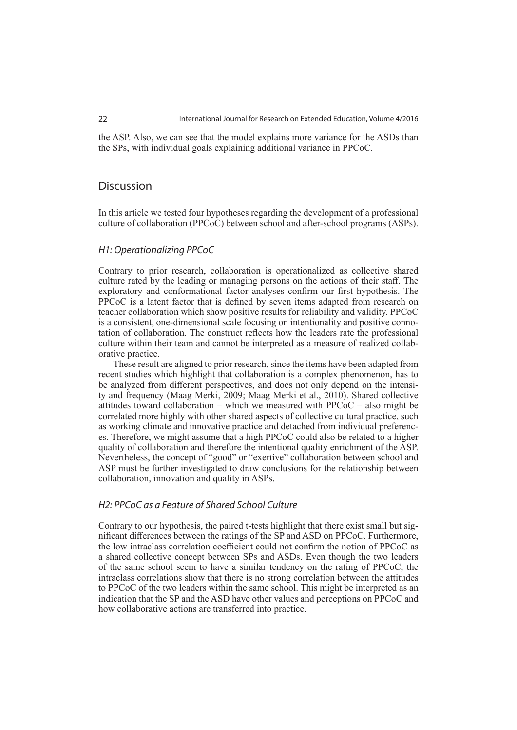the ASP. Also, we can see that the model explains more variance for the ASDs than the SPs, with individual goals explaining additional variance in PPCoC.

# Discussion

In this article we tested four hypotheses regarding the development of a professional culture of collaboration (PPCoC) between school and after-school programs (ASPs).

#### *H1: Operationalizing PPCoC*

Contrary to prior research, collaboration is operationalized as collective shared culture rated by the leading or managing persons on the actions of their staf. The exploratory and conformational factor analyses confrm our frst hypothesis. The PPCoC is a latent factor that is defned by seven items adapted from research on teacher collaboration which show positive results for reliability and validity. PPCoC is a consistent, one-dimensional scale focusing on intentionality and positive connotation of collaboration. The construct refects how the leaders rate the professional culture within their team and cannot be interpreted as a measure of realized collaborative practice.

These result are aligned to prior research, since the items have been adapted from recent studies which highlight that collaboration is a complex phenomenon, has to be analyzed from diferent perspectives, and does not only depend on the intensity and frequency (Maag Merki, 2009; Maag Merki et al., 2010). Shared collective attitudes toward collaboration – which we measured with PPCoC – also might be correlated more highly with other shared aspects of collective cultural practice, such as working climate and innovative practice and detached from individual preferences. Therefore, we might assume that a high PPCoC could also be related to a higher quality of collaboration and therefore the intentional quality enrichment of the ASP. Nevertheless, the concept of "good" or "exertive" collaboration between school and ASP must be further investigated to draw conclusions for the relationship between collaboration, innovation and quality in ASPs.

#### *H2: PPCoC as a Feature of Shared School Culture*

Contrary to our hypothesis, the paired t-tests highlight that there exist small but signifcant diferences between the ratings of the SP and ASD on PPCoC. Furthermore, the low intraclass correlation coefficient could not confirm the notion of PPCoC as a shared collective concept between SPs and ASDs. Even though the two leaders of the same school seem to have a similar tendency on the rating of PPCoC, the intraclass correlations show that there is no strong correlation between the attitudes to PPCoC of the two leaders within the same school. This might be interpreted as an indication that the SP and the ASD have other values and perceptions on PPCoC and how collaborative actions are transferred into practice.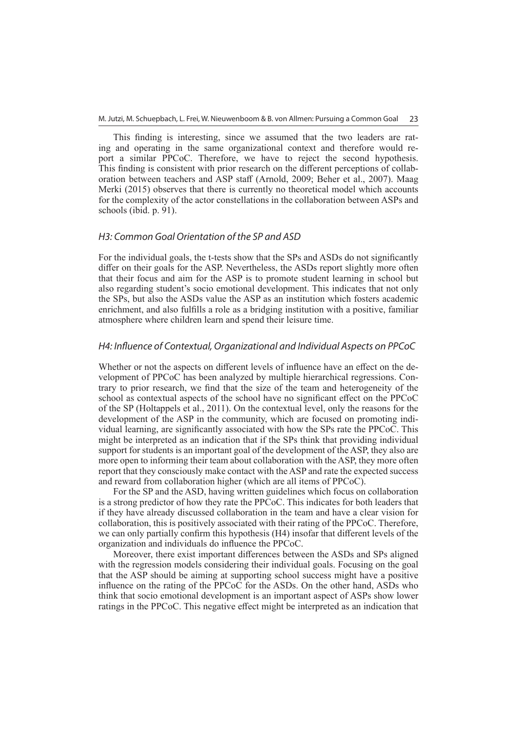This fnding is interesting, since we assumed that the two leaders are rating and operating in the same organizational context and therefore would report a similar PPCoC. Therefore, we have to reject the second hypothesis. This fnding is consistent with prior research on the diferent perceptions of collaboration between teachers and ASP staff (Arnold, 2009; Beher et al., 2007). Maag Merki (2015) observes that there is currently no theoretical model which accounts for the complexity of the actor constellations in the collaboration between ASPs and schools (ibid. p. 91).

#### *H3: Common Goal Orientation of the SP and ASD*

For the individual goals, the t-tests show that the SPs and ASDs do not signifcantly difer on their goals for the ASP. Nevertheless, the ASDs report slightly more often that their focus and aim for the ASP is to promote student learning in school but also regarding student's socio emotional development. This indicates that not only the SPs, but also the ASDs value the ASP as an institution which fosters academic enrichment, and also fulflls a role as a bridging institution with a positive, familiar atmosphere where children learn and spend their leisure time.

#### *H4: Infuence of Contextual, Organizational and Individual Aspects on PPCoC*

Whether or not the aspects on different levels of influence have an effect on the development of PPCoC has been analyzed by multiple hierarchical regressions. Contrary to prior research, we fnd that the size of the team and heterogeneity of the school as contextual aspects of the school have no signifcant efect on the PPCoC of the SP (Holtappels et al., 2011). On the contextual level, only the reasons for the development of the ASP in the community, which are focused on promoting individual learning, are signifcantly associated with how the SPs rate the PPCoC. This might be interpreted as an indication that if the SPs think that providing individual support for students is an important goal of the development of the ASP, they also are more open to informing their team about collaboration with the ASP, they more often report that they consciously make contact with the ASP and rate the expected success and reward from collaboration higher (which are all items of PPCoC).

For the SP and the ASD, having written guidelines which focus on collaboration is a strong predictor of how they rate the PPCoC. This indicates for both leaders that if they have already discussed collaboration in the team and have a clear vision for collaboration, this is positively associated with their rating of the PPCoC. Therefore, we can only partially confrm this hypothesis (H4) insofar that diferent levels of the organization and individuals do infuence the PPCoC.

Moreover, there exist important diferences between the ASDs and SPs aligned with the regression models considering their individual goals. Focusing on the goal that the ASP should be aiming at supporting school success might have a positive infuence on the rating of the PPCoC for the ASDs. On the other hand, ASDs who think that socio emotional development is an important aspect of ASPs show lower ratings in the PPCoC. This negative efect might be interpreted as an indication that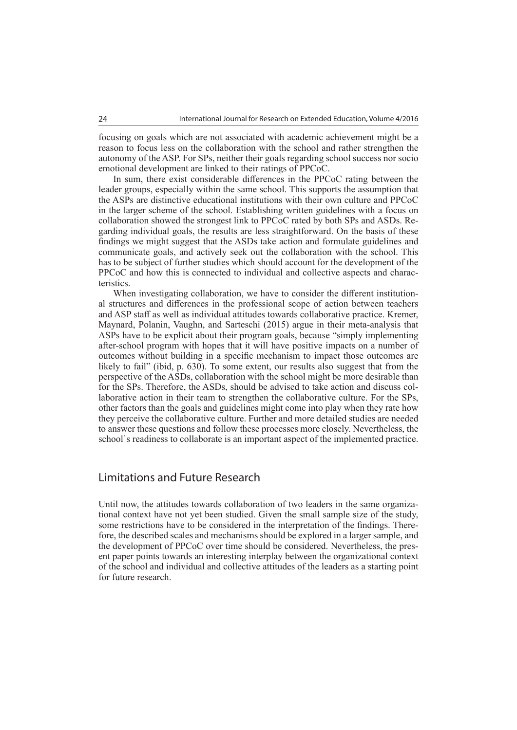focusing on goals which are not associated with academic achievement might be a reason to focus less on the collaboration with the school and rather strengthen the autonomy of the ASP. For SPs, neither their goals regarding school success nor socio emotional development are linked to their ratings of PPCoC.

In sum, there exist considerable diferences in the PPCoC rating between the leader groups, especially within the same school. This supports the assumption that the ASPs are distinctive educational institutions with their own culture and PPCoC in the larger scheme of the school. Establishing written guidelines with a focus on collaboration showed the strongest link to PPCoC rated by both SPs and ASDs. Regarding individual goals, the results are less straightforward. On the basis of these fndings we might suggest that the ASDs take action and formulate guidelines and communicate goals, and actively seek out the collaboration with the school. This has to be subject of further studies which should account for the development of the PPCoC and how this is connected to individual and collective aspects and characteristics.

When investigating collaboration, we have to consider the diferent institutional structures and diferences in the professional scope of action between teachers and ASP staf as well as individual attitudes towards collaborative practice. Kremer, Maynard, Polanin, Vaughn, and Sarteschi (2015) argue in their meta-analysis that ASPs have to be explicit about their program goals, because "simply implementing after-school program with hopes that it will have positive impacts on a number of outcomes without building in a specifc mechanism to impact those outcomes are likely to fail" (ibid, p. 630). To some extent, our results also suggest that from the perspective of the ASDs, collaboration with the school might be more desirable than for the SPs. Therefore, the ASDs, should be advised to take action and discuss collaborative action in their team to strengthen the collaborative culture. For the SPs, other factors than the goals and guidelines might come into play when they rate how they perceive the collaborative culture. Further and more detailed studies are needed to answer these questions and follow these processes more closely. Nevertheless, the school`s readiness to collaborate is an important aspect of the implemented practice.

# Limitations and Future Research

Until now, the attitudes towards collaboration of two leaders in the same organizational context have not yet been studied. Given the small sample size of the study, some restrictions have to be considered in the interpretation of the fndings. Therefore, the described scales and mechanisms should be explored in a larger sample, and the development of PPCoC over time should be considered. Nevertheless, the present paper points towards an interesting interplay between the organizational context of the school and individual and collective attitudes of the leaders as a starting point for future research.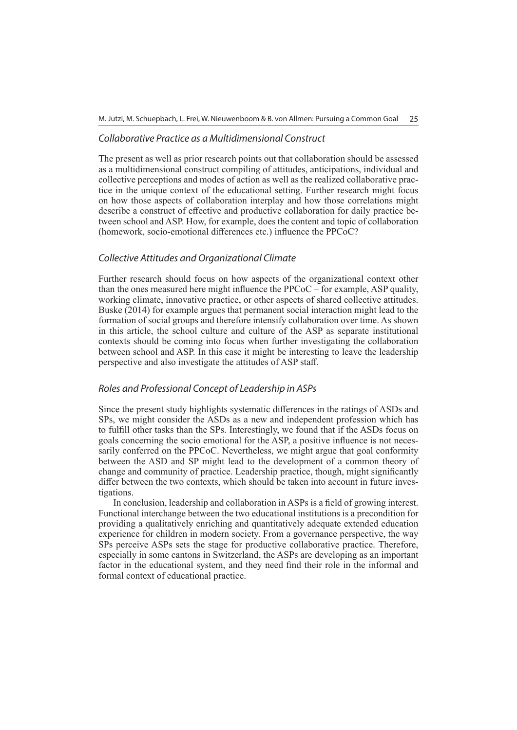#### *Collaborative Practice as a Multidimensional Construct*

The present as well as prior research points out that collaboration should be assessed as a multidimensional construct compiling of attitudes, anticipations, individual and collective perceptions and modes of action as well as the realized collaborative practice in the unique context of the educational setting. Further research might focus on how those aspects of collaboration interplay and how those correlations might describe a construct of efective and productive collaboration for daily practice between school and ASP. How, for example, does the content and topic of collaboration (homework, socio-emotional diferences etc.) infuence the PPCoC?

#### *Collective Attitudes and Organizational Climate*

Further research should focus on how aspects of the organizational context other than the ones measured here might infuence the PPCoC – for example, ASP quality, working climate, innovative practice, or other aspects of shared collective attitudes. Buske (2014) for example argues that permanent social interaction might lead to the formation of social groups and therefore intensify collaboration over time. As shown in this article, the school culture and culture of the ASP as separate institutional contexts should be coming into focus when further investigating the collaboration between school and ASP. In this case it might be interesting to leave the leadership perspective and also investigate the attitudes of ASP staf.

#### *Roles and Professional Concept of Leadership in ASPs*

Since the present study highlights systematic diferences in the ratings of ASDs and SPs, we might consider the ASDs as a new and independent profession which has to fulfll other tasks than the SPs. Interestingly, we found that if the ASDs focus on goals concerning the socio emotional for the ASP, a positive infuence is not necessarily conferred on the PPCoC. Nevertheless, we might argue that goal conformity between the ASD and SP might lead to the development of a common theory of change and community of practice. Leadership practice, though, might signifcantly difer between the two contexts, which should be taken into account in future investigations.

In conclusion, leadership and collaboration in ASPs is a feld of growing interest. Functional interchange between the two educational institutions is a precondition for providing a qualitatively enriching and quantitatively adequate extended education experience for children in modern society. From a governance perspective, the way SPs perceive ASPs sets the stage for productive collaborative practice. Therefore, especially in some cantons in Switzerland, the ASPs are developing as an important factor in the educational system, and they need fnd their role in the informal and formal context of educational practice.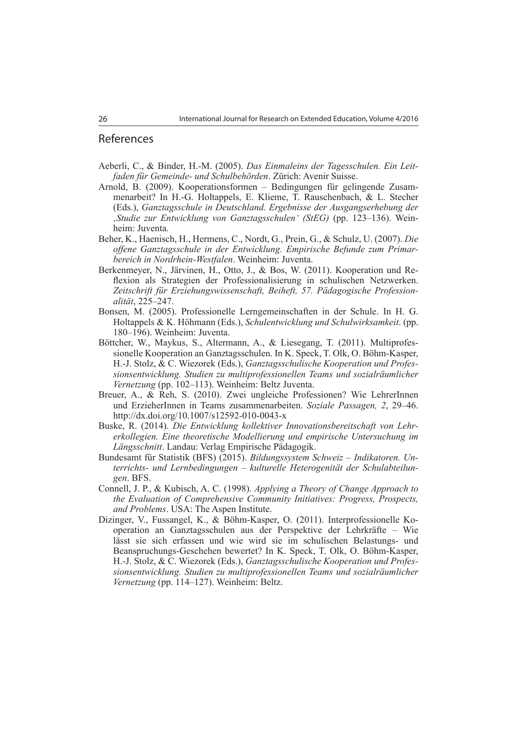# References

- Aeberli, C., & Binder, H.-M. (2005). *Das Einmaleins der Tagesschulen. Ein Leitfaden für Gemeinde- und Schulbehörden*. Zürich: Avenir Suisse.
- Arnold, B. (2009). Kooperationsformen Bedingungen für gelingende Zusammenarbeit? In H.-G. Holtappels, E. Klieme, T. Rauschenbach, & L. Stecher (Eds.), *Ganztagsschule in Deutschland. Ergebnisse der Ausgangserhebung der 'Studie zur Entwicklung von Ganztagsschulen' (StEG)* (pp. 123–136). Weinheim: Juventa.
- Beher, K., Haenisch, H., Hermens, C., Nordt, G., Prein, G., & Schulz, U. (2007). *Die ofene Ganztagsschule in der Entwicklung. Empirische Befunde zum Primarbereich in Nordrhein-Westfalen*. Weinheim: Juventa.
- Berkenmeyer, N., Järvinen, H., Otto, J., & Bos, W. (2011). Kooperation und Refexion als Strategien der Professionalisierung in schulischen Netzwerken. *Zeitschrift für Erziehungswissenschaft, Beiheft, 57. Pädagogische Professionalität*, 225–247.
- Bonsen, M. (2005). Professionelle Lerngemeinschaften in der Schule. In H. G. Holtappels & K. Höhmann (Eds.), *Schulentwicklung und Schulwirksamkeit*. (pp. 180–196). Weinheim: Juventa.
- Böttcher, W., Maykus, S., Altermann, A., & Liesegang, T. (2011). Multiprofessionelle Kooperation an Ganztagsschulen. In K. Speck, T. Olk, O. Böhm-Kasper, H.-J. Stolz, & C. Wiezorek (Eds.), *Ganztagsschulische Kooperation und Professionsentwicklung. Studien zu multiprofessionellen Teams und sozialräumlicher Vernetzung* (pp. 102–113). Weinheim: Beltz Juventa.
- Breuer, A., & Reh, S. (2010). Zwei ungleiche Professionen? Wie LehrerInnen und ErzieherInnen in Teams zusammenarbeiten. *Soziale Passagen, 2*, 29–46. <http://dx.doi.org/10.1007/s12592-010-0043-x>
- Buske, R. (2014). *Die Entwicklung kollektiver Innovationsbereitschaft von Lehrerkollegien. Eine theoretische Modellierung und empirische Untersuchung im Längsschnitt*. Landau: Verlag Empirische Pädagogik.
- Bundesamt für Statistik (BFS) (2015). *Bildungssystem Schweiz Indikatoren. Unterrichts- und Lernbedingungen – kulturelle Heterogenität der Schulabteilungen*. BFS.
- Connell, J. P., & Kubisch, A. C. (1998). *Applying a Theory of Change Approach to the Evaluation of Comprehensive Community Initiatives: Progress, Prospects, and Problems*. USA: The Aspen Institute.
- Dizinger, V., Fussangel, K., & Böhm-Kasper, O. (2011). Interprofessionelle Kooperation an Ganztagsschulen aus der Perspektive der Lehrkräfte – Wie lässt sie sich erfassen und wie wird sie im schulischen Belastungs- und Beanspruchungs-Geschehen bewertet? In K. Speck, T. Olk, O. Böhm-Kasper, H.-J. Stolz, & C. Wiezorek (Eds.), *Ganztagsschulische Kooperation und Professionsentwicklung. Studien zu multiprofessionellen Teams und sozialräumlicher Vernetzung* (pp. 114–127). Weinheim: Beltz.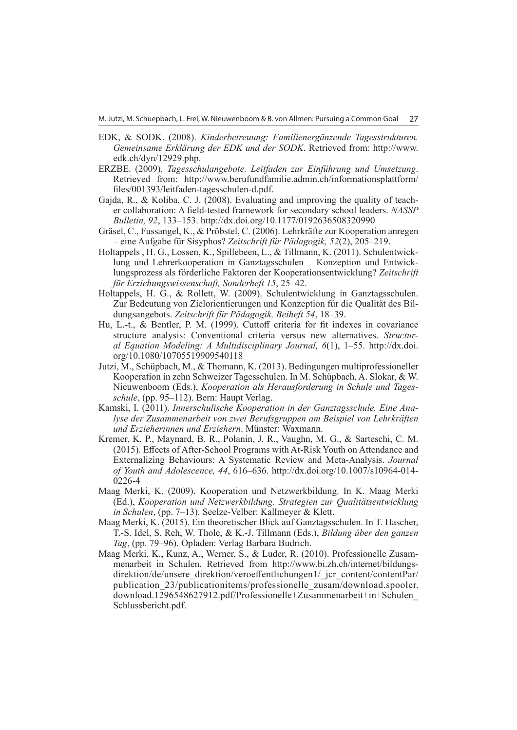- EDK, & SODK. (2008). *Kinderbetreuung: Familienergänzende Tagesstrukturen. Gemeinsame Erklärung der EDK und der SODK*. Retrieved from: [http://www.](http://www) edk.ch/dyn/12929.php.
- ERZBE. (2009). *Tagesschulangebote. Leitfaden zur Einführung und Umsetzung*. Retrieved from: [http://www.berufundfamilie.admin.ch/informationsplattform/](http://www.berufundfamilie.admin.ch/informationsplattform/files/001393/leitfaden-tagesschulen-d.pdf) fles/001393/leitfaden-tagesschulen-d.pdf.
- Gajda, R., & Koliba, C. J. (2008). Evaluating and improving the quality of teacher collaboration: A feld-tested framework for secondary school leaders. *NASSP Bulletin, 92*, 133–153. <http://dx.doi.org/10.1177/0192636508320990>
- Gräsel, C., Fussangel, K., & Pröbstel, C. (2006). Lehrkräfte zur Kooperation anregen – eine Aufgabe für Sisyphos? *Zeitschrift für Pädagogik, 52*(2), 205–219.
- Holtappels , H. G., Lossen, K., Spillebeen, L., & Tillmann, K. (2011). Schulentwicklung und Lehrerkooperation in Ganztagsschulen – Konzeption und Entwicklungsprozess als förderliche Faktoren der Kooperationsentwicklung? *Zeitschrift für Erziehungswissenschaft, Sonderheft 15*, 25–42.
- Holtappels, H. G., & Rollett, W. (2009). Schulentwicklung in Ganztagsschulen. Zur Bedeutung von Zielorientierungen und Konzeption für die Qualität des Bildungsangebots. *Zeitschrift für Pädagogik, Beiheft 54*, 18–39.
- Hu, L.-t., & Bentler, P. M. (1999). Cuttoff criteria for fit indexes in covariance structure analysis: Conventional criteria versus new alternatives. *Structur[al Equation Modeling: A Multidisciplinary Journal, 6](http://dx.doi.org/10.1080/10705519909540118)*(1), 1–55. http://dx.doi. org/10.1080/10705519909540118
- Jutzi, M., Schüpbach, M., & Thomann, K. (2013). Bedingungen multiprofessioneller Kooperation in zehn Schweizer Tagesschulen. In M. Schüpbach, A. Slokar, & W. Nieuwenboom (Eds.), *Kooperation als Herausforderung in Schule und Tagesschule*, (pp. 95–112). Bern: Haupt Verlag.
- Kamski, I. (2011). *Innerschulische Kooperation in der Ganztagsschule. Eine Analyse der Zusammenarbeit von zwei Berufsgruppen am Beispiel von Lehrkräften und Erzieherinnen und Erziehern*. Münster: Waxmann.
- Kremer, K. P., Maynard, B. R., Polanin, J. R., Vaughn, M. G., & Sarteschi, C. M. (2015). Efects of After-School Programs with At-Risk Youth on Attendance and Externalizing Behaviours: A Systematic Review and Meta-Analysis. *Journal of Youth and Adolescence, 44*, 616–636. [http://dx.doi.org/10.1007/s10964-014-](http://dx.doi.org/10.1007/s10964-014-0226-4) [0226-4](http://dx.doi.org/10.1007/s10964-014-0226-4)
- Maag Merki, K. (2009). Kooperation und Netzwerkbildung. In K. Maag Merki (Ed.), *Kooperation und Netzwerkbildung. Strategien zur Qualitätsentwicklung in Schulen*, (pp. 7–13). Seelze-Velber: Kallmeyer & Klett.
- Maag Merki, K. (2015). Ein theoretischer Blick auf Ganztagsschulen. In T. Hascher, T.-S. Idel, S. Reh, W. Thole, & K.-J. Tillmann (Eds.), *Bildung über den ganzen Tag*, (pp. 79–96). Opladen: Verlag Barbara Budrich.
- Maag Merki, K., Kunz, A., Werner, S., & Luder, R. (2010). Professionelle Zusammenarbeit in Schulen. Retrieved from http://www.bi.zh.ch/internet/bildungsdirektion/de/unsere\_direktion/veroeffentlichungen1/\_jcr\_content/contentPar/ publication 23/publicationitems/professionelle\_zusam/download.spooler. download.1296548627912.pdf/Professionelle+Zusammenarbeit+in+Schulen\_ Schlussbericht.pdf.